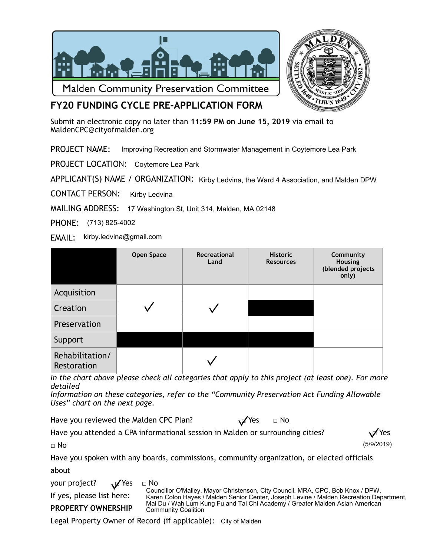



# **FY20 FUNDING CYCLE PRE-APPLICATION FORM**

Submit an electronic copy no later than **11:59 PM on June 15, 2019** via email to [MaldenCPC@cityofmalden.org](mailto:CPCMalden@gmail.com)

PROJECT NAME: Improving Recreation and Stormwater Management in Coytemore Lea Park

PROJECT LOCATION: Coytemore Lea Park

APPLICANT(S) NAME / ORGANIZATION: Kirby Ledvina, the Ward 4 Association, and Malden DPW

CONTACT PERSON: Kirby Ledvina

MAILING ADDRESS: 17 Washington St, Unit 314, Malden, MA 02148

PHONE: (713) 825-4002

EMAIL: kirby.ledvina@gmail.com

|                                | Open Space | Recreational<br>Land | <b>Historic</b><br><b>Resources</b> | Community<br>Housing<br>(blended projects<br>only) |
|--------------------------------|------------|----------------------|-------------------------------------|----------------------------------------------------|
| Acquisition                    |            |                      |                                     |                                                    |
| Creation                       |            |                      |                                     |                                                    |
| Preservation                   |            |                      |                                     |                                                    |
| Support                        |            |                      |                                     |                                                    |
| Rehabilitation/<br>Restoration |            |                      |                                     |                                                    |

*In the chart above please check all categories that apply to this project (at least one). For more detailed* 

*Information on these categories, refer to the "Community Preservation Act Funding Allowable Uses" chart on the next page.* 

Have you reviewed the Malden CPC Plan?  $\mathcal{V}$  Yes  $\Box$  No

(5/9/2019)

Have you attended a CPA informational session in Malden or surrounding cities?  $\mathcal{A}$  Yes

□ No

| Have you spoken with any boards, commissions, community organization, or elected officials |  |  |  |  |
|--------------------------------------------------------------------------------------------|--|--|--|--|
| about                                                                                      |  |  |  |  |

your project?  $\sqrt{ }$  Yes  $\Box$  No If yes, please list here: **PROPERTY OWNERSHIP**  Councillor O'Malley, Mayor Christenson, City Council, MRA, CPC, Bob Knox / DPW, Karen Colon Hayes / Malden Senior Center, Joseph Levine / Malden Recreation Department, Mai Du / Wah Lum Kung Fu and Tai Chi Academy / Greater Malden Asian American Community Coalition

Legal Property Owner of Record (if applicable): City of Malden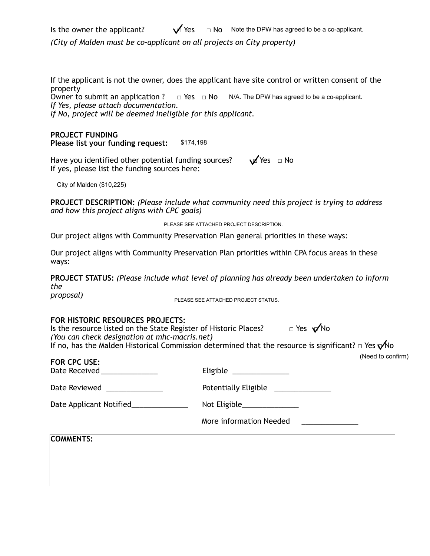Is the owner the applicant? *(City of Malden must be co-applicant on all projects on City property)*   $\sqrt{1}$  Yes  $\Box$  Note the DPW has agreed to be a co-applicant.

If the applicant is not the owner, does the applicant have site control or written consent of the property

Owner to submit an application ? *If Yes, please attach documentation.*   $\Box$  Yes  $\Box$  No N/A. The DPW has agreed to be a co-applicant.

\$174,198

*If No, project will be deemed ineligible for this applicant.* 

#### **PROJECT FUNDING Please list your funding request:**

Have you identified other potential funding sources?  $\blacksquare$  Yes  $\blacksquare$  No If yes, please list the funding sources here:

City of Malden (\$10,225)

**PROJECT DESCRIPTION:** *(Please include what community need this project is trying to address and how this project aligns with CPC goals)* 

PLEASE SEE ATTACHED PROJECT DESCRIPTION.

Our project aligns with Community Preservation Plan general priorities in these ways:

Our project aligns with Community Preservation Plan priorities within CPA focus areas in these ways:

**PROJECT STATUS:** *(Please include what level of planning has already been undertaken to inform the* 

*proposal)* 

PLEASE SEE ATTACHED PROJECT STATUS.

#### **FOR HISTORIC RESOURCES PROJECTS:**

Is the resource listed on the State Register of Historic Places?  $\Box$  Yes  $\sqrt{N}$ No *(You can check designation at mhc-macris.net)*  If no, has the Malden Historical Commission determined that the resource is significant?  $\Box$  Yes  $\sqrt{\ }$ No

**FOR CPC USE:** Date Received **Eligible** Date Reviewed \_\_\_\_\_\_\_\_\_\_\_\_\_\_\_\_\_\_\_\_ Potentially Eligible \_\_\_\_\_\_\_\_\_\_\_\_\_\_\_\_\_\_ Date Applicant Notified\_\_\_\_\_\_\_\_\_\_\_\_\_\_\_\_ Not Eligible\_\_\_\_\_\_\_\_\_\_\_\_\_\_\_\_\_\_\_\_\_\_\_\_\_\_\_\_ More information Needed **COMMENTS:**  (Need to confirm)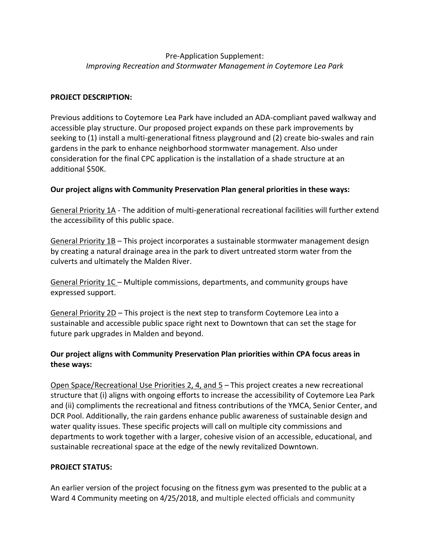## Pre-Application Supplement: *Improving Recreation and Stormwater Management in Coytemore Lea Park*

### **PROJECT DESCRIPTION:**

Previous additions to Coytemore Lea Park have included an ADA-compliant paved walkway and accessible play structure. Our proposed project expands on these park improvements by seeking to (1) install a multi-generational fitness playground and (2) create bio-swales and rain gardens in the park to enhance neighborhood stormwater management. Also under consideration for the final CPC application is the installation of a shade structure at an additional \$50K.

#### **Our project aligns with Community Preservation Plan general priorities in these ways:**

General Priority 1A - The addition of multi-generational recreational facilities will further extend the accessibility of this public space.

General Priority 1B – This project incorporates a sustainable stormwater management design by creating a natural drainage area in the park to divert untreated storm water from the culverts and ultimately the Malden River.

General Priority 1C – Multiple commissions, departments, and community groups have expressed support.

General Priority 2D – This project is the next step to transform Coytemore Lea into a sustainable and accessible public space right next to Downtown that can set the stage for future park upgrades in Malden and beyond.

## **Our project aligns with Community Preservation Plan priorities within CPA focus areas in these ways:**

Open Space/Recreational Use Priorities 2, 4, and 5 – This project creates a new recreational structure that (i) aligns with ongoing efforts to increase the accessibility of Coytemore Lea Park and (ii) compliments the recreational and fitness contributions of the YMCA, Senior Center, and DCR Pool. Additionally, the rain gardens enhance public awareness of sustainable design and water quality issues. These specific projects will call on multiple city commissions and departments to work together with a larger, cohesive vision of an accessible, educational, and sustainable recreational space at the edge of the newly revitalized Downtown.

#### **PROJECT STATUS:**

An earlier version of the project focusing on the fitness gym was presented to the public at a Ward 4 Community meeting on 4/25/2018, and multiple elected officials and community